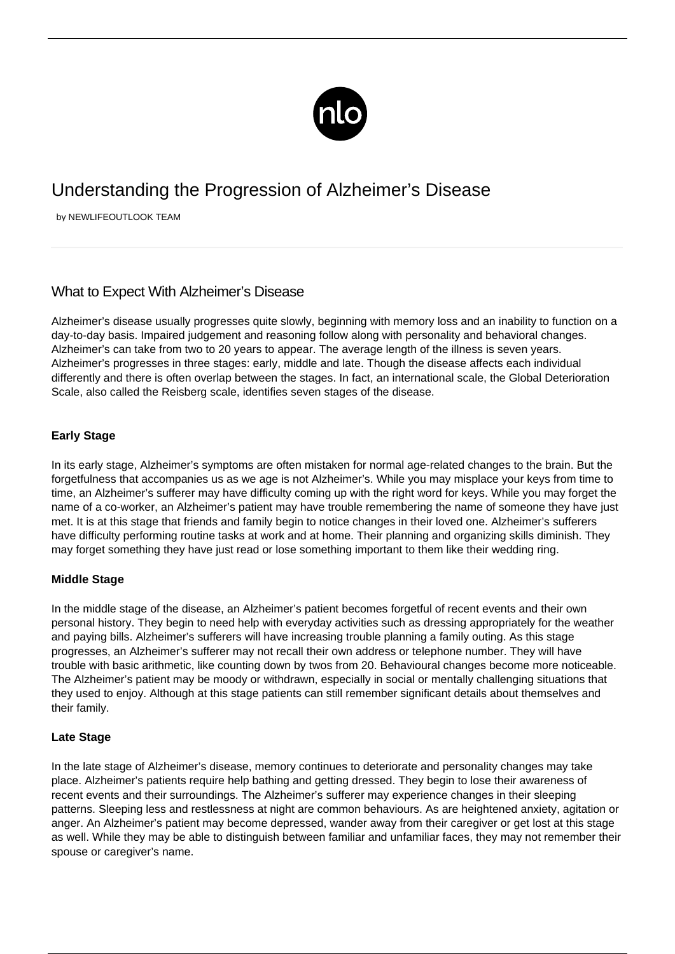

# Understanding the Progression of Alzheimer's Disease

by NEWLIFEOUTLOOK TEAM

## What to Expect With Alzheimer's Disease

Alzheimer's disease usually progresses quite slowly, beginning with memory loss and an inability to function on a day-to-day basis. Impaired judgement and reasoning follow along with personality and behavioral changes. Alzheimer's can take from two to 20 years to appear. The average length of the illness is seven years. Alzheimer's progresses in three stages: early, middle and late. Though the disease affects each individual differently and there is often overlap between the stages. In fact, an international scale, the Global Deterioration Scale, also called the Reisberg scale, identifies seven stages of the disease.

### **Early Stage**

In its early stage, Alzheimer's symptoms are often mistaken for normal age-related changes to the brain. But the forgetfulness that accompanies us as we age is not Alzheimer's. While you may misplace your keys from time to time, an Alzheimer's sufferer may have difficulty coming up with the right word for keys. While you may forget the name of a co-worker, an Alzheimer's patient may have trouble remembering the name of someone they have just met. It is at this stage that friends and family begin to notice changes in their loved one. Alzheimer's sufferers have difficulty performing routine tasks at work and at home. Their planning and organizing skills diminish. They may forget something they have just read or lose something important to them like their wedding ring.

#### **Middle Stage**

In the middle stage of the disease, an Alzheimer's patient becomes forgetful of recent events and their own personal history. They begin to need help with everyday activities such as dressing appropriately for the weather and paying bills. Alzheimer's sufferers will have increasing trouble planning a family outing. As this stage progresses, an Alzheimer's sufferer may not recall their own address or telephone number. They will have trouble with basic arithmetic, like counting down by twos from 20. Behavioural changes become more noticeable. The Alzheimer's patient may be moody or withdrawn, especially in social or mentally challenging situations that they used to enjoy. Although at this stage patients can still remember significant details about themselves and their family.

#### **Late Stage**

In the late stage of Alzheimer's disease, memory continues to deteriorate and personality changes may take place. Alzheimer's patients require help bathing and getting dressed. They begin to lose their awareness of recent events and their surroundings. The Alzheimer's sufferer may experience changes in their sleeping patterns. Sleeping less and restlessness at night are common behaviours. As are heightened anxiety, agitation or anger. An Alzheimer's patient may become depressed, wander away from their caregiver or get lost at this stage as well. While they may be able to distinguish between familiar and unfamiliar faces, they may not remember their spouse or caregiver's name.